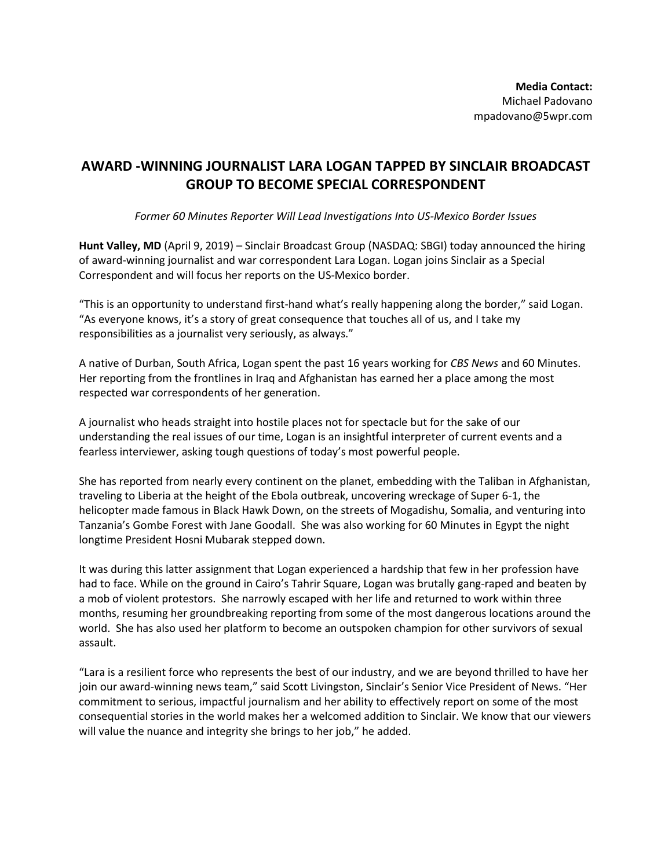## **AWARD -WINNING JOURNALIST LARA LOGAN TAPPED BY SINCLAIR BROADCAST GROUP TO BECOME SPECIAL CORRESPONDENT**

*Former 60 Minutes Reporter Will Lead Investigations Into US-Mexico Border Issues*

**Hunt Valley, MD** (April 9, 2019) – Sinclair Broadcast Group (NASDAQ: SBGI) today announced the hiring of award-winning journalist and war correspondent Lara Logan. Logan joins Sinclair as a Special Correspondent and will focus her reports on the US-Mexico border.

"This is an opportunity to understand first-hand what's really happening along the border," said Logan. "As everyone knows, it's a story of great consequence that touches all of us, and I take my responsibilities as a journalist very seriously, as always."

A native of Durban, South Africa, Logan spent the past 16 years working for *CBS News* and 60 Minutes. Her reporting from the frontlines in Iraq and Afghanistan has earned her a place among the most respected war correspondents of her generation.

A journalist who heads straight into hostile places not for spectacle but for the sake of our understanding the real issues of our time, Logan is an insightful interpreter of current events and a fearless interviewer, asking tough questions of today's most powerful people.

She has reported from nearly every continent on the planet, embedding with the Taliban in Afghanistan, traveling to Liberia at the height of the Ebola outbreak, uncovering wreckage of Super 6-1, the helicopter made famous in Black Hawk Down, on the streets of Mogadishu, Somalia, and venturing into Tanzania's Gombe Forest with Jane Goodall. She was also working for 60 Minutes in Egypt the night longtime President Hosni Mubarak stepped down.

It was during this latter assignment that Logan experienced a hardship that few in her profession have had to face. While on the ground in Cairo's Tahrir Square, Logan was brutally gang-raped and beaten by a mob of violent protestors. She narrowly escaped with her life and returned to work within three months, resuming her groundbreaking reporting from some of the most dangerous locations around the world. She has also used her platform to become an outspoken champion for other survivors of sexual assault.

"Lara is a resilient force who represents the best of our industry, and we are beyond thrilled to have her join our award-winning news team," said Scott Livingston, Sinclair's Senior Vice President of News. "Her commitment to serious, impactful journalism and her ability to effectively report on some of the most consequential stories in the world makes her a welcomed addition to Sinclair. We know that our viewers will value the nuance and integrity she brings to her job," he added.